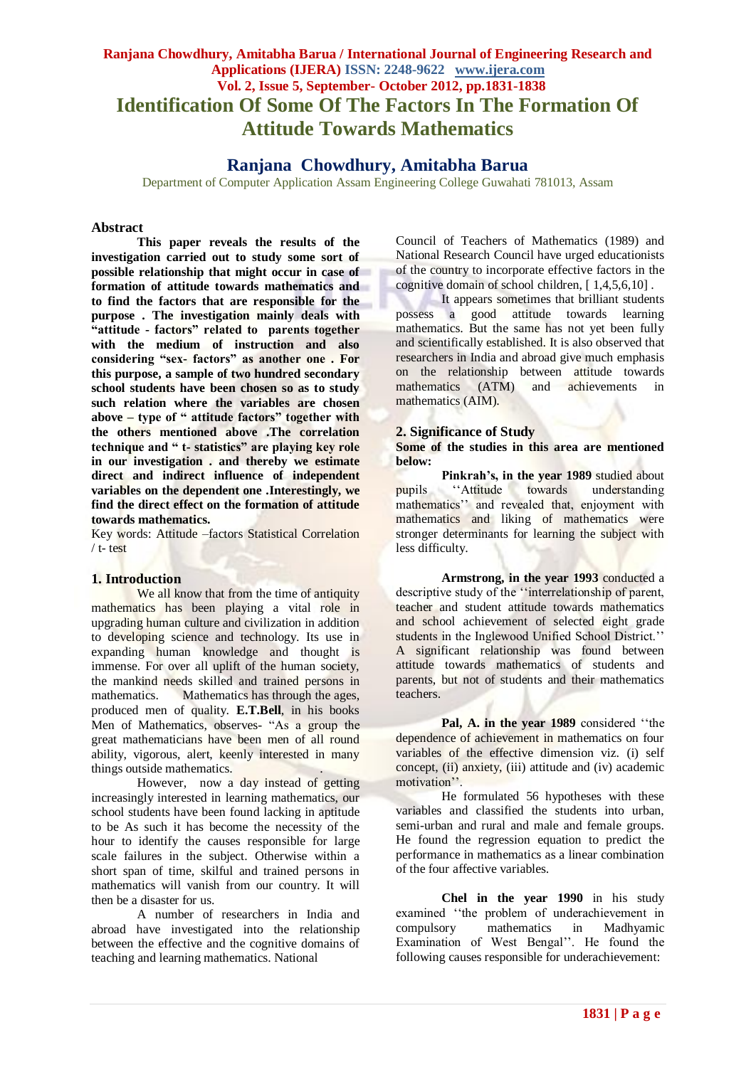# **Ranjana Chowdhury, Amitabha Barua / International Journal of Engineering Research and Applications (IJERA) ISSN: 2248-9622 www.ijera.com Vol. 2, Issue 5, September- October 2012, pp.1831-1838 Identification Of Some Of The Factors In The Formation Of Attitude Towards Mathematics**

# **Ranjana Chowdhury, Amitabha Barua**

Department of Computer Application Assam Engineering College Guwahati 781013, Assam

#### **Abstract**

**This paper reveals the results of the investigation carried out to study some sort of possible relationship that might occur in case of formation of attitude towards mathematics and to find the factors that are responsible for the purpose . The investigation mainly deals with "attitude - factors" related to parents together with the medium of instruction and also considering "sex- factors" as another one . For this purpose, a sample of two hundred secondary school students have been chosen so as to study such relation where the variables are chosen above – type of " attitude factors" together with the others mentioned above .The correlation technique and " t- statistics" are playing key role in our investigation . and thereby we estimate direct and indirect influence of independent variables on the dependent one .Interestingly, we find the direct effect on the formation of attitude towards mathematics.**

Key words: Attitude –factors Statistical Correlation / t- test

### **1. Introduction**

We all know that from the time of antiquity mathematics has been playing a vital role in upgrading human culture and civilization in addition to developing science and technology. Its use in expanding human knowledge and thought is immense. For over all uplift of the human society, the mankind needs skilled and trained persons in mathematics. Mathematics has through the ages, produced men of quality. **E.T.Bell**, in his books Men of Mathematics, observes- "As a group the great mathematicians have been men of all round ability, vigorous, alert, keenly interested in many things outside mathematics. .

However, now a day instead of getting increasingly interested in learning mathematics, our school students have been found lacking in aptitude to be As such it has become the necessity of the hour to identify the causes responsible for large scale failures in the subject. Otherwise within a short span of time, skilful and trained persons in mathematics will vanish from our country. It will then be a disaster for us.

A number of researchers in India and abroad have investigated into the relationship between the effective and the cognitive domains of teaching and learning mathematics. National

Council of Teachers of Mathematics (1989) and National Research Council have urged educationists of the country to incorporate effective factors in the cognitive domain of school children, [ 1,4,5,6,10] .

It appears sometimes that brilliant students possess a good attitude towards learning mathematics. But the same has not yet been fully and scientifically established. It is also observed that researchers in India and abroad give much emphasis on the relationship between attitude towards mathematics (ATM) and achievements in mathematics (AIM).

### **2. Significance of Study**

#### **Some of the studies in this area are mentioned below:**

**Pinkrah's, in the year 1989** studied about pupils "Attitude towards understanding mathematics" and revealed that, enjoyment with mathematics and liking of mathematics were stronger determinants for learning the subject with less difficulty.

**Armstrong, in the year 1993** conducted a descriptive study of the ""interrelationship of parent, teacher and student attitude towards mathematics and school achievement of selected eight grade students in the Inglewood Unified School District." A significant relationship was found between attitude towards mathematics of students and parents, but not of students and their mathematics teachers.

Pal, A. in the year 1989 considered "the dependence of achievement in mathematics on four variables of the effective dimension viz. (i) self concept, (ii) anxiety, (iii) attitude and (iv) academic motivation".

He formulated 56 hypotheses with these variables and classified the students into urban, semi-urban and rural and male and female groups. He found the regression equation to predict the performance in mathematics as a linear combination of the four affective variables.

**Chel in the year 1990** in his study examined "the problem of underachievement in compulsory mathematics in Madhyamic Examination of West Bengal". He found the following causes responsible for underachievement: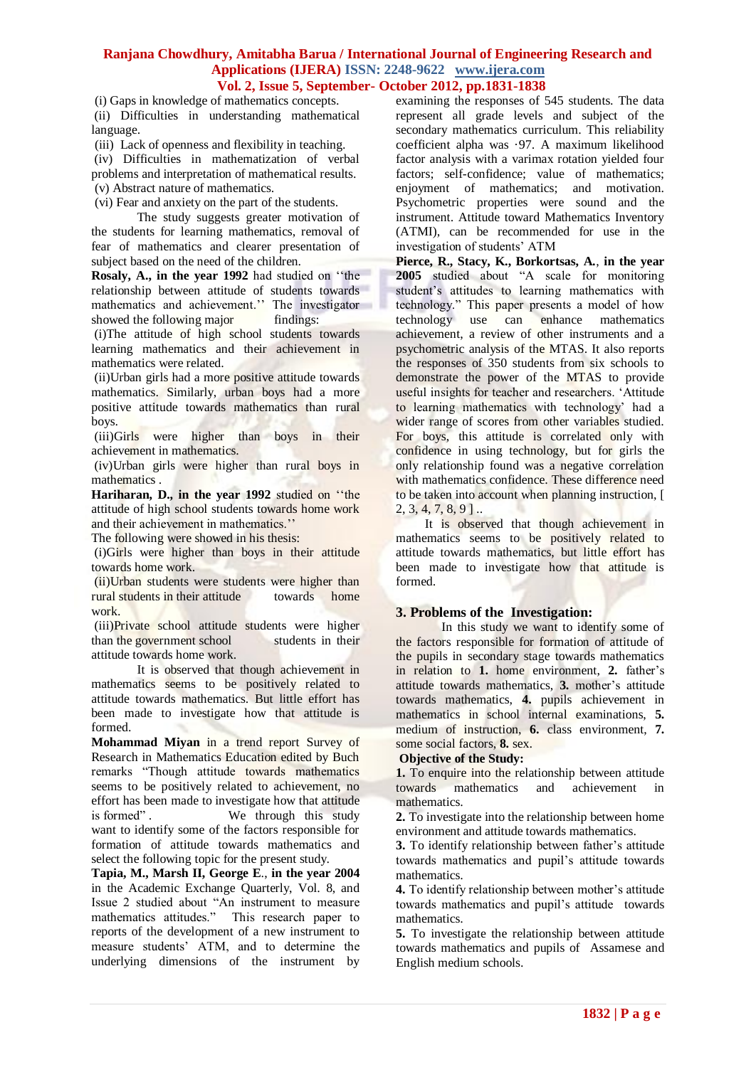(i) Gaps in knowledge of mathematics concepts. (ii) Difficulties in understanding mathematical language.

(iii) Lack of openness and flexibility in teaching.

(iv) Difficulties in mathematization of verbal problems and interpretation of mathematical results. (v) Abstract nature of mathematics.

(vi) Fear and anxiety on the part of the students.

The study suggests greater motivation of the students for learning mathematics, removal of fear of mathematics and clearer presentation of subject based on the need of the children.

**Rosaly, A., in the year 1992** had studied on ""the relationship between attitude of students towards mathematics and achievement." The investigator showed the following major findings:

(i)The attitude of high school students towards learning mathematics and their achievement in mathematics were related.

(ii)Urban girls had a more positive attitude towards mathematics. Similarly, urban boys had a more positive attitude towards mathematics than rural boys.

(iii)Girls were higher than boys in their achievement in mathematics.

(iv)Urban girls were higher than rural boys in mathematics .

**Hariharan, D., in the year 1992** studied on ""the attitude of high school students towards home work and their achievement in mathematics."

The following were showed in his thesis:

(i)Girls were higher than boys in their attitude towards home work.

(ii)Urban students were students were higher than rural students in their attitude towards home work.

(iii)Private school attitude students were higher than the government school students in their attitude towards home work.

It is observed that though achievement in mathematics seems to be positively related to attitude towards mathematics. But little effort has been made to investigate how that attitude is formed.

**Mohammad Miyan** in a trend report Survey of Research in Mathematics Education edited by Buch remarks "Though attitude towards mathematics seems to be positively related to achievement, no effort has been made to investigate how that attitude is formed". We through this study want to identify some of the factors responsible for formation of attitude towards mathematics and select the following topic for the present study.

**Tapia, M., Marsh II, George E**., **in the year 2004** in the Academic Exchange Quarterly, Vol. 8, and Issue 2 studied about "An instrument to measure mathematics attitudes." This research paper to reports of the development of a new instrument to measure students" ATM, and to determine the underlying dimensions of the instrument by examining the responses of 545 students. The data represent all grade levels and subject of the secondary mathematics curriculum. This reliability coefficient alpha was ·97. A maximum likelihood factor analysis with a varimax rotation yielded four factors; self-confidence; value of mathematics; enjoyment of mathematics; and motivation. Psychometric properties were sound and the instrument. Attitude toward Mathematics Inventory (ATMI), can be recommended for use in the investigation of students" ATM

**Pierce, R., Stacy, K., Borkortsas, A.**, **in the year 2005** studied about "A scale for monitoring student's attitudes to learning mathematics with technology." This paper presents a model of how technology use can enhance mathematics achievement, a review of other instruments and a psychometric analysis of the MTAS. It also reports the responses of 350 students from six schools to demonstrate the power of the MTAS to provide useful insights for teacher and researchers. "Attitude to learning mathematics with technology" had a wider range of scores from other variables studied. For boys, this attitude is correlated only with confidence in using technology, but for girls the only relationship found was a negative correlation with mathematics confidence. These difference need to be taken into account when planning instruction, [  $2, 3, 4, 7, 8, 9$ ]...

It is observed that though achievement in mathematics seems to be positively related to attitude towards mathematics, but little effort has been made to investigate how that attitude is formed.

# **3. Problems of the Investigation:**

In this study we want to identify some of the factors responsible for formation of attitude of the pupils in secondary stage towards mathematics in relation to 1. home environment, 2. father's attitude towards mathematics, **3.** mother"s attitude towards mathematics, **4.** pupils achievement in mathematics in school internal examinations, **5.** medium of instruction, **6.** class environment, **7.** some social factors, **8.** sex.

#### **Objective of the Study:**

**1.** To enquire into the relationship between attitude towards mathematics and achievement in mathematics.

**2.** To investigate into the relationship between home environment and attitude towards mathematics.

**3.** To identify relationship between father's attitude towards mathematics and pupil"s attitude towards mathematics.

**4.** To identify relationship between mother's attitude towards mathematics and pupil"s attitude towards mathematics.

**5.** To investigate the relationship between attitude towards mathematics and pupils of Assamese and English medium schools.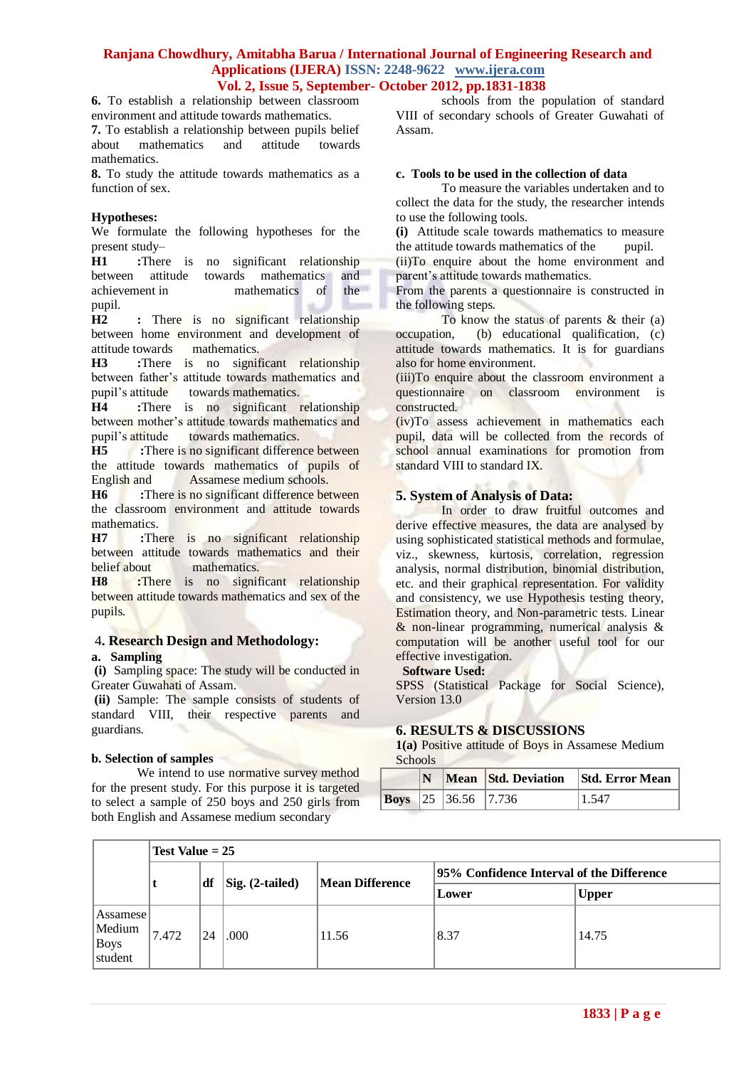**6.** To establish a relationship between classroom environment and attitude towards mathematics.

**7.** To establish a relationship between pupils belief about mathematics and attitude towards about mathematics and attitude towards mathematics.

**8.** To study the attitude towards mathematics as a function of sex.

## **Hypotheses:**

We formulate the following hypotheses for the present study–

**H1 :**There is no significant relationship between attitude towards mathematics and achievement in mathematics of the achievement in mathematics of pupil.

**H2 :** There is no significant relationship between home environment and development of attitude towards mathematics.

**H3 :**There is no significant relationship between father"s attitude towards mathematics and pupil"s attitude towards mathematics.

**H4 :**There is no significant relationship between mother's attitude towards mathematics and<br>pupil's attitude towards mathematics. towards mathematics.

**H5 :**There is no significant difference between the attitude towards mathematics of pupils of English and Assamese medium schools.

**H6 :**There is no significant difference between the classroom environment and attitude towards mathematics.

**H7 :**There is no significant relationship between attitude towards mathematics and their belief about mathematics.

**H8 :**There is no significant relationship between attitude towards mathematics and sex of the pupils.

### 4**. Research Design and Methodology: a. Sampling**

**(i)** Sampling space: The study will be conducted in Greater Guwahati of Assam.

**(ii)** Sample: The sample consists of students of standard VIII, their respective parents and guardians.

### **b. Selection of samples**

We intend to use normative survey method for the present study. For this purpose it is targeted to select a sample of 250 boys and 250 girls from both English and Assamese medium secondary

schools from the population of standard VIII of secondary schools of Greater Guwahati of Assam.

### **c. Tools to be used in the collection of data**

To measure the variables undertaken and to collect the data for the study, the researcher intends to use the following tools.

**(i)** Attitude scale towards mathematics to measure the attitude towards mathematics of the pupil. (ii)To enquire about the home environment and parent's attitude towards mathematics.

From the parents a questionnaire is constructed in the following steps.

To know the status of parents & their (a) occupation, (b) educational qualification, (c) attitude towards mathematics. It is for guardians also for home environment.

(iii)To enquire about the classroom environment a questionnaire on classroom environment is constructed.

(iv)To assess achievement in mathematics each pupil, data will be collected from the records of school annual examinations for promotion from standard VIII to standard IX.

# **5. System of Analysis of Data:**

In order to draw fruitful outcomes and derive effective measures, the data are analysed by using sophisticated statistical methods and formulae, viz., skewness, kurtosis, correlation, regression analysis, normal distribution, binomial distribution, etc. and their graphical representation. For validity and consistency, we use Hypothesis testing theory, Estimation theory, and Non-parametric tests. Linear & non-linear programming, numerical analysis & computation will be another useful tool for our effective investigation.

### **Software Used:**

SPSS (Statistical Package for Social Science), Version 13.0

# **6. RESULTS & DISCUSSIONS**

**1(a)** Positive attitude of Boys in Assamese Medium Schools

|  |                            | N Mean Std. Deviation Std. Error Mean |
|--|----------------------------|---------------------------------------|
|  | <b>Boys</b> 25 36.56 7.736 | 1.547                                 |

|                                       | Test Value $= 25$ |    |                                         |                        |                                            |              |  |  |  |  |
|---------------------------------------|-------------------|----|-----------------------------------------|------------------------|--------------------------------------------|--------------|--|--|--|--|
|                                       |                   |    |                                         |                        | 195% Confidence Interval of the Difference |              |  |  |  |  |
|                                       | df                |    | $\left  \text{Sig.} \right. (2-tailed)$ | <b>Mean Difference</b> | <b>Lower</b>                               | <b>Upper</b> |  |  |  |  |
| Assamese<br>Medium<br>Boys<br>student | 7.472             | 24 | .000                                    | 11.56                  | 8.37                                       | 14.75        |  |  |  |  |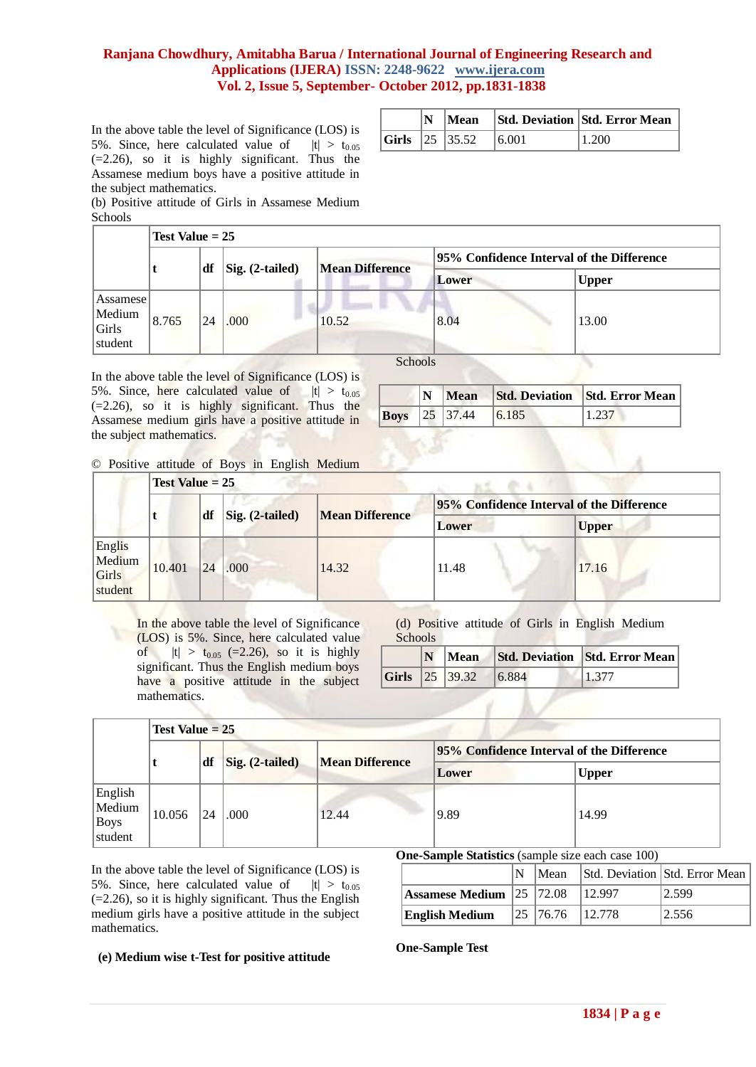In the above table the level of Significance (LOS) is 5%. Since, here calculated value of  $|t| > t_{0.05}$ (=2.26), so it is highly significant. Thus the Assamese medium boys have a positive attitude in the subject mathematics.

(b) Positive attitude of Girls in Assamese Medium Schools

|  |                       |       | N   Mean   Std. Deviation   Std. Error Mean |
|--|-----------------------|-------|---------------------------------------------|
|  | <b>Girls</b> 25 35.52 | 6.001 | 11.200                                      |

|                                        |                                        | Test Value $= 25$ |                        |       |                                            |              |       |  |  |  |  |  |
|----------------------------------------|----------------------------------------|-------------------|------------------------|-------|--------------------------------------------|--------------|-------|--|--|--|--|--|
|                                        | df<br>$\left  \right $ Sig. (2-tailed) |                   |                        |       | [95% Confidence Interval of the Difference |              |       |  |  |  |  |  |
|                                        |                                        |                   | <b>Mean Difference</b> | Lower |                                            | <b>Upper</b> |       |  |  |  |  |  |
| Assamese<br>Medium<br>Girls<br>student | 8.765                                  | 24                | .000.                  | 10.52 | 8.04                                       |              | 13.00 |  |  |  |  |  |

In the above table the level of Significance (LOS) is 5%. Since, here calculated value of  $|t| > t_{0.05}$  $(=2.26)$ , so it is highly significant. Thus the Assamese medium girls have a positive attitude in the subject mathematics.

|  |                      |       | N Mean Std. Deviation Std. Error Mean |
|--|----------------------|-------|---------------------------------------|
|  | <b>Boys</b> 25 37.44 | 6.185 | 1.237                                 |

© Positive attitude of Boys in English Medium

|                                      |        | $Test Value = 25$                                                  |      |       |                                                  |       |  |  |  |  |  |
|--------------------------------------|--------|--------------------------------------------------------------------|------|-------|--------------------------------------------------|-------|--|--|--|--|--|
|                                      | df     |                                                                    |      |       | <b>95% Confidence Interval of the Difference</b> |       |  |  |  |  |  |
|                                      |        | $\left  \right. \right $ Sig. (2-tailed)<br><b>Mean Difference</b> |      | Lower | <b>Upper</b>                                     |       |  |  |  |  |  |
| Englis<br>Medium<br>Girls<br>student | 10.401 | 24                                                                 | .000 | 14.32 | 11.48                                            | 17.16 |  |  |  |  |  |

In the above table the level of Significance (LOS) is 5%. Since, here calculated value of  $|t| > t_{0.05}$  (=2.26), so it is highly significant. Thus the English medium boys have a positive attitude in the subject mathematics.

(d) Positive attitude of Girls in English Medium

| <b>Schools</b> |                    |        |                                |
|----------------|--------------------|--------|--------------------------------|
|                | Mean               |        | Std. Deviation Std. Error Mean |
|                | $ Girls $ 25 39.32 | 16.884 | 1.377                          |

|                                             | <b>Test Value = 25</b> |     |                 |                        |                                           |              |  |  |  |
|---------------------------------------------|------------------------|-----|-----------------|------------------------|-------------------------------------------|--------------|--|--|--|
|                                             |                        |     |                 |                        | 95% Confidence Interval of the Difference |              |  |  |  |
|                                             |                        | df  | Sig. (2-tailed) | <b>Mean Difference</b> | Lower                                     | <b>Upper</b> |  |  |  |
| English<br>Medium<br><b>Boys</b><br>student | 10.056                 | 124 | .000            | 12.44                  | 9.89                                      | 14.99        |  |  |  |

In the above table the level of Significance (LOS) is 5%. Since, here calculated value of  $|t| > t_{0.05}$  $(=2.26)$ , so it is highly significant. Thus the English medium girls have a positive attitude in the subject mathematics.

| One-Sample Statistics (sample size each case 100) |  |  |
|---------------------------------------------------|--|--|
|                                                   |  |  |

|                                        | Mean                                                | Std. Deviation Std. Error Mean |
|----------------------------------------|-----------------------------------------------------|--------------------------------|
| <b>Assamese Medium</b> 25 72.08 12.997 |                                                     | 12.599                         |
| <b>English Medium</b>                  | $\begin{array}{ l} \n25 \end{array}$ 76.76   12.778 | 12.556                         |

### **(e) Medium wise t-Test for positive attitude**

**One-Sample Test**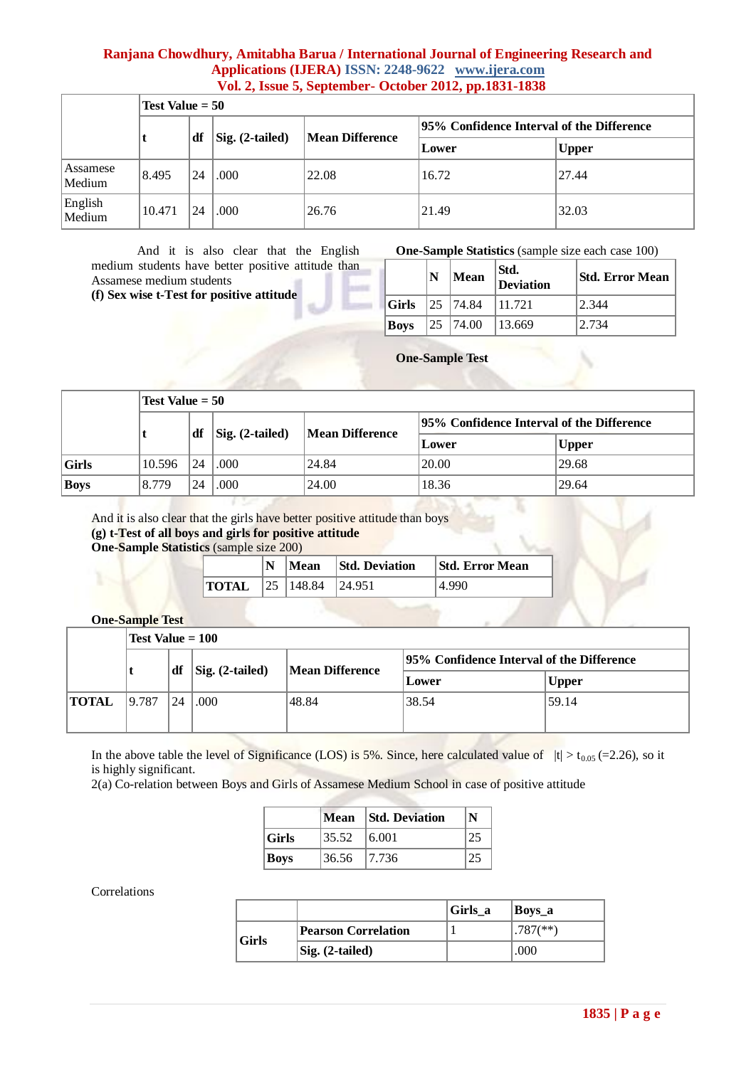|                    |        | Test Value $= 50$                       |      |                        |                                            |              |  |  |  |  |
|--------------------|--------|-----------------------------------------|------|------------------------|--------------------------------------------|--------------|--|--|--|--|
|                    |        |                                         |      |                        | [95% Confidence Interval of the Difference |              |  |  |  |  |
|                    |        | ∣df<br>$\left  \right $ Sig. (2-tailed) |      | <b>Mean Difference</b> | Lower                                      | <b>Upper</b> |  |  |  |  |
| Assamese<br>Medium | 8.495  | 24                                      | .000 | 22.08                  | 16.72                                      | 27.44        |  |  |  |  |
| English<br>Medium  | 10.471 | 124                                     | .000 | 26.76                  | 21.49                                      | 32.03        |  |  |  |  |

And it is also clear that the English medium students have better positive attitude than Assamese medium students

**(f) Sex wise t-Test for positive attitude** 

**One-Sample Statistics** (sample size each case 100)

|              | N | Mean          | Std.<br>Deviation | Std. Error Mean |
|--------------|---|---------------|-------------------|-----------------|
| $\sf  Girls$ |   | $ 25 $ 174.84 | 11.721            | 2.344           |
| Boys         |   | $ 25 $ 174.00 | 13.669            | 12.734          |

**One-Sample Test**

|       |        | Test Value $= 50$ |                                  |                        |                                            |           |  |  |
|-------|--------|-------------------|----------------------------------|------------------------|--------------------------------------------|-----------|--|--|
|       |        | ∣df               | $\left  \right $ Sig. (2-tailed) | <b>Mean Difference</b> | [95% Confidence Interval of the Difference |           |  |  |
|       |        |                   |                                  |                        | Lower                                      | $ $ Upper |  |  |
| Girls | 10.596 | 24                | .000                             | 24.84                  | 20.00                                      | 29.68     |  |  |
| Boys  | 8.779  | 24                | .000                             | 24.00                  | 18.36                                      | 29.64     |  |  |

And it is also clear that the girls have better positive attitude than boys **(g) t-Test of all boys and girls for positive attitude One-Sample Statistics** (sample size 200)

|                                                                   |  | $ N $ Mean Std. Deviation | <b>Std. Error Mean</b> |
|-------------------------------------------------------------------|--|---------------------------|------------------------|
| <b>TOTAL</b> $\begin{bmatrix} 25 & 148.84 & 24.951 \end{bmatrix}$ |  |                           | 4.990                  |

# **One-Sample Test**

|              |                                  | Test Value $= 100$ |       |              |                                            |       |  |
|--------------|----------------------------------|--------------------|-------|--------------|--------------------------------------------|-------|--|
|              | df                               |                    |       |              | 195% Confidence Interval of the Difference |       |  |
|              | $\left  \right $ Sig. (2-tailed) | Mean Difference    | Lower | <b>Upper</b> |                                            |       |  |
| <b>TOTAL</b> | 19.787                           | 24                 | .000  | 48.84        | 38.54                                      | 59.14 |  |
|              |                                  |                    |       |              |                                            |       |  |

In the above table the level of Significance (LOS) is 5%. Since, here calculated value of  $|t| > t_{0.05}$  (=2.26), so it is highly significant.

2(a) Co-relation between Boys and Girls of Assamese Medium School in case of positive attitude

|             |             | Mean Std. Deviation | N  |
|-------------|-------------|---------------------|----|
| Girls       | 35.52       | 16.001              |    |
| <b>Boys</b> | 36.56 7.736 |                     | 25 |

### Correlations

|                             |                            | Girls a | Boys_a                    |
|-----------------------------|----------------------------|---------|---------------------------|
| $\overline{\textbf{Girls}}$ | <b>Pearson Correlation</b> |         | $1.787$ <sup>(**)</sup> ) |
|                             | Sig. (2-tailed)            |         | .000                      |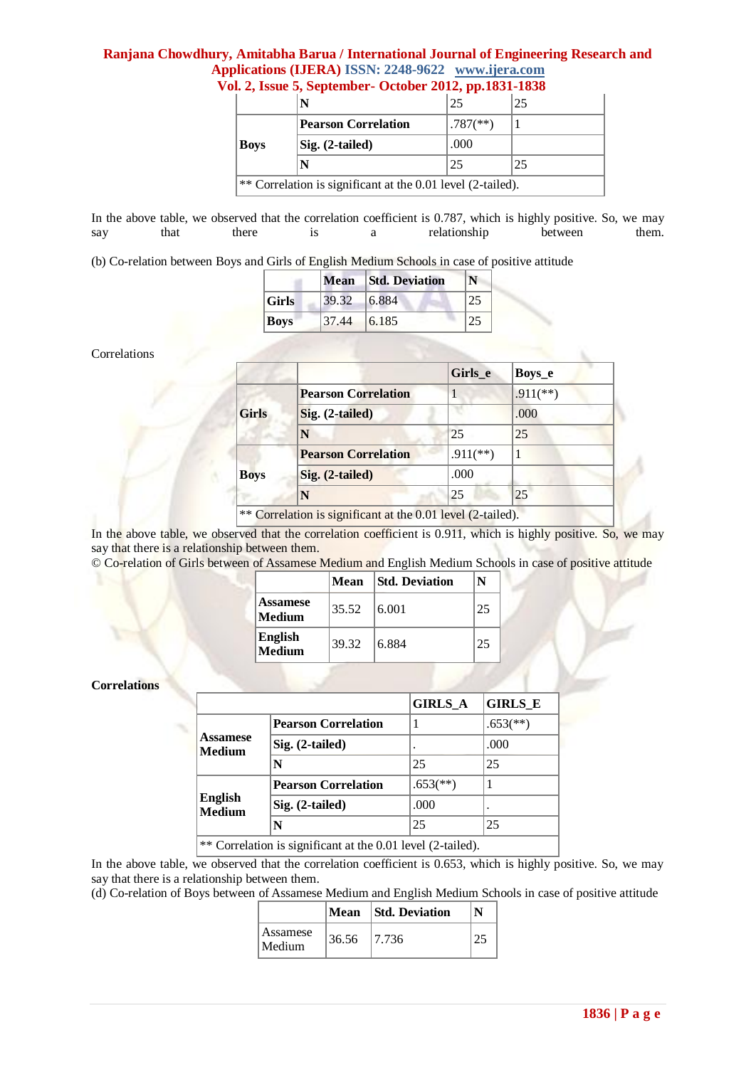# **Ranjana Chowdhury, Amitabha Barua / International Journal of Engineering Research and Applications (IJERA) ISSN: 2248-9622 www.ijera.com**

|                                                             |                            | 25                       | 25 |  |
|-------------------------------------------------------------|----------------------------|--------------------------|----|--|
|                                                             | <b>Pearson Correlation</b> | $.787$ <sup>(**)</sup> ) |    |  |
| Boys                                                        | Sig. (2-tailed)            | .000                     |    |  |
|                                                             |                            | 25                       | 25 |  |
| ** Correlation is significant at the 0.01 level (2-tailed). |                            |                          |    |  |

# **Vol. 2, Issue 5, September- October 2012, pp.1831-1838**

In the above table, we observed that the correlation coefficient is 0.787, which is highly positive. So, we may say that there is a relationship between them. say that there is a relationship

(b) Co-relation between Boys and Girls of English Medium Schools in case of positive attitude

|             |        | Mean Std. Deviation | N  |
|-------------|--------|---------------------|----|
| Girls       | 139.32 | 6.884               | 25 |
| <b>Boys</b> | 37.44  | 6.185               | 25 |

### Correlations

|              |                            | Girls e     | Boys_e      |
|--------------|----------------------------|-------------|-------------|
|              | <b>Pearson Correlation</b> | 1           | $.911$ (**) |
| <b>Girls</b> | Sig. (2-tailed)            |             | .000        |
|              | N                          | 25          | 25          |
| <b>Boys</b>  | <b>Pearson Correlation</b> | $.911$ (**) |             |
|              | Sig. (2-tailed)            | .000        |             |
|              | N                          | 25          | 25          |

In the above table, we observed that the correlation coefficient is 0.911, which is highly positive. So, we may say that there is a relationship between them.

© Co-relation of Girls between of Assamese Medium and English Medium Schools in case of positive attitude

|                            | Mean  | <b>Std. Deviation</b> | N  |
|----------------------------|-------|-----------------------|----|
| <b>Assamese</b><br> Medium | 35.52 | 6.001                 | 25 |
| English<br>$\log$ Medium   | 39.32 | 6.884                 | 25 |

#### **Correlations**

|                                                             |                            | <b>GIRLS_A</b>           | <b>GIRLS E</b>           |
|-------------------------------------------------------------|----------------------------|--------------------------|--------------------------|
|                                                             | <b>Pearson Correlation</b> |                          | $.653$ <sup>(**)</sup> ) |
| Assamese<br>Medium                                          | $Sig. (2-tailed)$          |                          | .000                     |
|                                                             | N                          | 25                       | 25                       |
|                                                             | <b>Pearson Correlation</b> | $.653$ <sup>(**)</sup> ) |                          |
| English<br><b>Medium</b>                                    | $Sig. (2-tailed)$          | .000                     |                          |
|                                                             | N                          | 25                       | 25                       |
| ** Correlation is significant at the 0.01 level (2-tailed). |                            |                          |                          |

In the above table, we observed that the correlation coefficient is 0.653, which is highly positive. So, we may say that there is a relationship between them.

(d) Co-relation of Boys between of Assamese Medium and English Medium Schools in case of positive attitude

|                     |       | Mean Std. Deviation |  |
|---------------------|-------|---------------------|--|
| Assamese<br> Medium | 36.56 | 17.736              |  |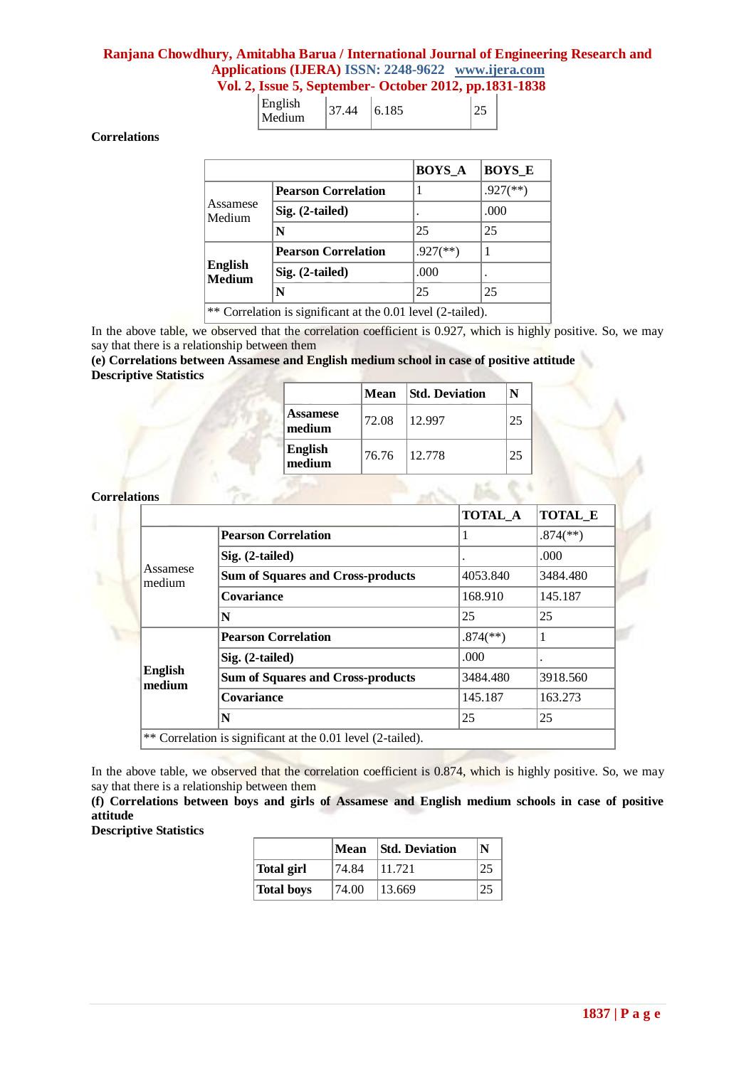# **Ranjana Chowdhury, Amitabha Barua / International Journal of Engineering Research and Applications (IJERA) ISSN: 2248-9622 www.ijera.com**

| Vol. 2, Issue 5, September- October 2012, pp.1831-1838 |  |  |
|--------------------------------------------------------|--|--|
|                                                        |  |  |

|  | English<br>Medium |  | 6.185 |  |
|--|-------------------|--|-------|--|
|--|-------------------|--|-------|--|

**Correlations**

|                                                             |                            | <b>BOYS A</b>            | <b>BOYS E</b>          |
|-------------------------------------------------------------|----------------------------|--------------------------|------------------------|
|                                                             | <b>Pearson Correlation</b> |                          | $.927$ <sup>**</sup> ) |
| Assamese<br>Medium                                          | Sig. (2-tailed)            | ٠                        | .000                   |
|                                                             | N                          | 25                       | 25                     |
|                                                             | <b>Pearson Correlation</b> | $.927$ <sup>(**)</sup> ) |                        |
| <b>English</b><br><b>Medium</b>                             | Sig. (2-tailed)            | .000                     |                        |
|                                                             | N                          | 25                       | 25                     |
| ** Correlation is significant at the 0.01 level (2-tailed). |                            |                          |                        |

In the above table, we observed that the correlation coefficient is 0.927, which is highly positive. So, we may say that there is a relationship between them

# **(e) Correlations between Assamese and English medium school in case of positive attitude Descriptive Statistics**

|                           |       | Mean Std. Deviation | N  |
|---------------------------|-------|---------------------|----|
| <b>Assamese</b><br>medium | 72.08 | 12.997              | 25 |
| English<br>medium         | 76.76 | 12.778              | 25 |

### **Correlations**

|                          |                                          | <b>TOTAL_A</b>           | <b>TOTAL_E</b>           |
|--------------------------|------------------------------------------|--------------------------|--------------------------|
|                          | <b>Pearson Correlation</b>               |                          | $.874$ <sup>(**)</sup> ) |
|                          | $Sig. (2-tailed)$                        |                          | .000                     |
| Assamese<br>medium       | <b>Sum of Squares and Cross-products</b> | 4053.840                 | 3484.480                 |
|                          | Covariance                               | 168.910                  | 145.187                  |
|                          | N                                        | 25                       | 25                       |
|                          | <b>Pearson Correlation</b>               | $.874$ <sup>(**)</sup> ) | 1                        |
|                          | Sig. (2-tailed)                          | .000                     |                          |
| <b>English</b><br>medium | <b>Sum of Squares and Cross-products</b> | 3484.480                 | 3918.560                 |
|                          | Covariance                               | 145.187                  | 163.273                  |
|                          | N                                        | 25                       | 25                       |

In the above table, we observed that the correlation coefficient is 0.874, which is highly positive. So, we may say that there is a relationship between them

**(f) Correlations between boys and girls of Assamese and English medium schools in case of positive attitude** 

|            | Mean  | <b>Std. Deviation</b> | N |
|------------|-------|-----------------------|---|
| Total girl | 74.84 | 11.721                |   |
| Total boys | 74.00 | 13.669                |   |